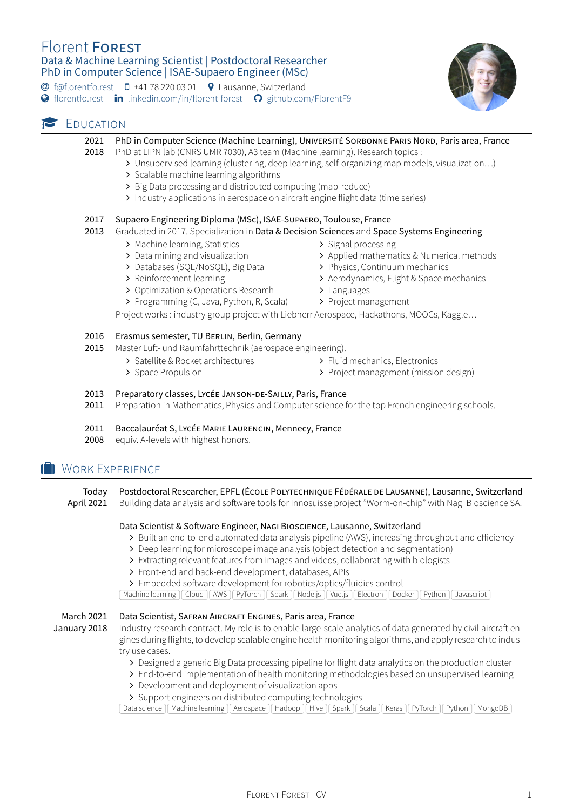# Florent FOREST Data & Machine Learning Scientist | Postdoctoral Researcher PhD in Computer Science | ISAE-Supaero Engineer (MSc)

� [f@florentfo.rest](mailto:f@florentfo.rest) � +41 78 220 03 01 � Lausanne, Switzerland

**◆** [florentfo.rest](http://florentfo.rest) **in** [linkedin.com/in/florent-forest](https://www.linkedin.com/in/florent-forest) ● [github.com/FlorentF9](https://github.com/FlorentF9)



### **P** EDUCATION

#### 2021 PhD in Computer Science (Machine Learning), UNIVERSITÉ SORBONNE PARIS NORD, Paris area, France

- 2018 PhD at LIPN lab (CNRS UMR 7030), A3 team (Machine learning). Research topics :
	- ∠ Unsupervised learning (clustering, deep learning, self-organizing map models, visualization…)
		- ∠ Scalable machine learning algorithms
		- ∠ Big Data processing and distributed computing (map-reduce)
		- ∠ Industry applications in aerospace on aircraft engine flight data (time series)

#### 2017 Supaero Engineering Diploma (MSc), ISAE-SUPAERO, Toulouse, France

#### 2013 Graduated in 2017. Specialization in Data & Decision Sciences and Space Systems Engineering

- ∠ Machine learning, Statistics
- ∠ Data mining and visualization
- ∠ Databases (SQL/NoSQL), Big Data
- ∠ Reinforcement learning
- ∠ Optimization & Operations Research
- ∠ Programming (C, Java, Python, R, Scala)
- ∠ Signal processing
- ∠ Applied mathematics & Numerical methods
- ∠ Physics, Continuum mechanics
	- ∠ Aerodynamics, Flight & Space mechanics
	- ∠ Languages
	- ∠ Project management

Project works : industry group project with Liebherr Aerospace, Hackathons, MOOCs, Kaggle…

#### 2016 Erasmus semester, TU BERLIN, Berlin, Germany

- 2015 Master Luft- und Raumfahrttechnik (aerospace engineering).
	- ∠ Satellite & Rocket architectures
		- ∠ Space Propulsion
- ∠ Fluid mechanics, Electronics
- ∠ Project management (mission design)

#### 2013 Preparatory classes, LYCÉE JANSON-DE-SAILLY, Paris, France

2011 Preparation in Mathematics, Physics and Computer science for the top French engineering schools.

#### 2011 Baccalauréat S, LYCÉE MARIE LAURENCIN, Mennecy, France

2008 equiv. A-levels with highest honors.

# **WORK EXPERIENCE**

Today Postdoctoral Researcher, EPFL (ÉCOLE POLYTECHNIQUE FÉDÉRALE DE LAUSANNE), Lausanne, Switzerland April 2021 | Building data analysis and software tools for Innosuisse project "Worm-on-chip" with Nagi Bioscience SA. Data Scientist & Software Engineer, NAGI BIOSCIENCE, Lausanne, Switzerland ∠ Built an end-to-end automated data analysis pipeline (AWS), increasing throughput and efficiency ∠ Deep learning for microscope image analysis (object detection and segmentation) ∠ Extracting relevant features from images and videos, collaborating with biologists ∠ Front-end and back-end development, databases, APIs ∠ Embedded software development for robotics/optics/fluidics control Machine learning | Cloud | AWS | PyTorch | Spark | Node.js | Vue.js | Electron | Docker | Python | Javascript | March 2021 | Data Scientist, SAFRAN AIRCRAFT ENGINES, Paris area, France **January 2018** Industry research contract. My role is to enable large-scale analytics of data generated by civil aircraft engines during flights, to develop scalable engine health monitoring algorithms, and apply research to indus-

try use cases.

- ∠ Designed a generic Big Data processing pipeline for flight data analytics on the production cluster
- ∠ End-to-end implementation of health monitoring methodologies based on unsupervised learning
- ∠ Development and deployment of visualization apps
- ∠ Support engineers on distributed computing technologies

[Data science | Machine learning | Aerospace | Hadoop | Hive | Spark | Scala | Keras | PyTorch | Python | MongoDB |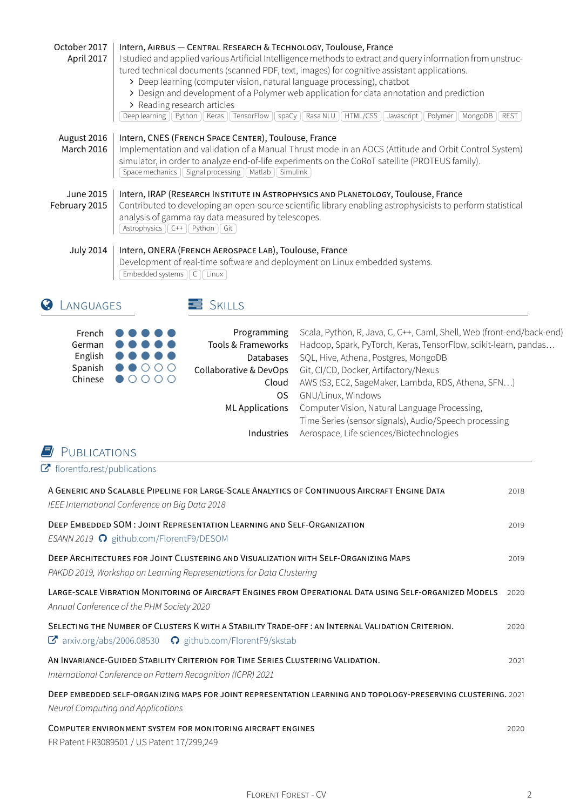| October 2017<br>April 2017              | Intern, AIRBUS - CENTRAL RESEARCH & TECHNOLOGY, Toulouse, France<br>I studied and applied various Artificial Intelligence methods to extract and query information from unstruc-<br>tured technical documents (scanned PDF, text, images) for cognitive assistant applications.<br>> Deep learning (computer vision, natural language processing), chatbot<br>> Design and development of a Polymer web application for data annotation and prediction<br>> Reading research articles<br>Deep learning   Python   Keras   TensorFlow   spaCy   Rasa NLU   HTML/CSS   Javascript   Polymer   MongoDB   REST |                                   |                                                                       |  |
|-----------------------------------------|------------------------------------------------------------------------------------------------------------------------------------------------------------------------------------------------------------------------------------------------------------------------------------------------------------------------------------------------------------------------------------------------------------------------------------------------------------------------------------------------------------------------------------------------------------------------------------------------------------|-----------------------------------|-----------------------------------------------------------------------|--|
| August 2016<br><b>March 2016</b>        | Intern, CNES (FRENCH SPACE CENTER), Toulouse, France<br>Implementation and validation of a Manual Thrust mode in an AOCS (Attitude and Orbit Control System)<br>simulator, in order to analyze end-of-life experiments on the CoRoT satellite (PROTEUS family).<br>Space mechanics   Signal processing   Matlab   Simulink                                                                                                                                                                                                                                                                                 |                                   |                                                                       |  |
| <b>June 2015</b><br>February 2015       | Intern, IRAP (RESEARCH INSTITUTE IN ASTROPHYSICS AND PLANETOLOGY, Toulouse, France<br>Contributed to developing an open-source scientific library enabling astrophysicists to perform statistical<br>analysis of gamma ray data measured by telescopes.<br>Astrophysics $\left  \begin{array}{c} C++ \end{array} \right $ Python $\left  \begin{array}{c} G \end{array} \right $                                                                                                                                                                                                                           |                                   |                                                                       |  |
| <b>July 2014</b>                        | Intern, ONERA (FRENCH AEROSPACE LAB), Toulouse, France<br>Development of real-time software and deployment on Linux embedded systems.<br>Embedded systems C   Linux<br>$\equiv$ SKILLS<br>LANGUAGES                                                                                                                                                                                                                                                                                                                                                                                                        |                                   |                                                                       |  |
|                                         |                                                                                                                                                                                                                                                                                                                                                                                                                                                                                                                                                                                                            |                                   | Scala, Python, R, Java, C, C++, Caml, Shell, Web (front-end/back-end) |  |
| French<br>German                        |                                                                                                                                                                                                                                                                                                                                                                                                                                                                                                                                                                                                            | Programming<br>Tools & Frameworks | Hadoop, Spark, PyTorch, Keras, TensorFlow, scikit-learn, pandas       |  |
| English                                 |                                                                                                                                                                                                                                                                                                                                                                                                                                                                                                                                                                                                            | <b>Databases</b>                  | SQL, Hive, Athena, Postgres, MongoDB                                  |  |
| Spanish                                 | $\bigcirc$ OOO                                                                                                                                                                                                                                                                                                                                                                                                                                                                                                                                                                                             | Collaborative & DevOps            | Git, CI/CD, Docker, Artifactory/Nexus                                 |  |
| Chinese                                 | $\bullet$ 0000                                                                                                                                                                                                                                                                                                                                                                                                                                                                                                                                                                                             | Cloud                             | AWS (S3, EC2, SageMaker, Lambda, RDS, Athena, SFN)                    |  |
|                                         |                                                                                                                                                                                                                                                                                                                                                                                                                                                                                                                                                                                                            | <b>OS</b>                         | GNU/Linux, Windows                                                    |  |
|                                         |                                                                                                                                                                                                                                                                                                                                                                                                                                                                                                                                                                                                            | <b>ML Applications</b>            | Computer Vision, Natural Language Processing,                         |  |
|                                         |                                                                                                                                                                                                                                                                                                                                                                                                                                                                                                                                                                                                            |                                   | Time Series (sensor signals), Audio/Speech processing                 |  |
|                                         |                                                                                                                                                                                                                                                                                                                                                                                                                                                                                                                                                                                                            | Industries                        | Aerospace, Life sciences/Biotechnologies                              |  |
| PUBLICATIONS                            |                                                                                                                                                                                                                                                                                                                                                                                                                                                                                                                                                                                                            |                                   |                                                                       |  |
| $\mathbf C$ florentfo.rest/publications |                                                                                                                                                                                                                                                                                                                                                                                                                                                                                                                                                                                                            |                                   |                                                                       |  |

| A GENERIC AND SCALABLE PIPELINE FOR LARGE-SCALE ANALYTICS OF CONTINUOUS AIRCRAFT ENGINE DATA<br>IEEE International Conference on Big Data 2018                                     |      |  |  |  |
|------------------------------------------------------------------------------------------------------------------------------------------------------------------------------------|------|--|--|--|
| DEEP EMBEDDED SOM: JOINT REPRESENTATION LEARNING AND SELF-ORGANIZATION<br>ESANN 2019 C github.com/FlorentF9/DESOM                                                                  |      |  |  |  |
| DEEP ARCHITECTURES FOR JOINT CLUSTERING AND VISUALIZATION WITH SELF-ORGANIZING MAPS<br>PAKDD 2019, Workshop on Learning Representations for Data Clustering                        |      |  |  |  |
| LARGE-SCALE VIBRATION MONITORING OF AIRCRAFT ENGINES FROM OPERATIONAL DATA USING SELF-ORGANIZED MODELS<br>Annual Conference of the PHM Society 2020                                | 2020 |  |  |  |
| SELECTING THE NUMBER OF CLUSTERS K WITH A STABILITY TRADE-OFF: AN INTERNAL VALIDATION CRITERION.<br>$\mathbf{C}$ arxiv.org/abs/2006.08530 $\mathbf{Q}$ github.com/FlorentF9/skstab | 2020 |  |  |  |
| AN INVARIANCE-GUIDED STABILITY CRITERION FOR TIME SERIES CLUSTERING VALIDATION.<br>International Conference on Pattern Recognition (ICPR) 2021                                     | 2021 |  |  |  |
| DEEP EMBEDDED SELF-ORGANIZING MAPS FOR JOINT REPRESENTATION LEARNING AND TOPOLOGY-PRESERVING CLUSTERING, 2021<br>Neural Computing and Applications                                 |      |  |  |  |
| COMPUTER ENVIRONMENT SYSTEM FOR MONITORING AIRCRAFT ENGINES<br>FR Patent FR3089501 / US Patent 17/299,249                                                                          | 2020 |  |  |  |